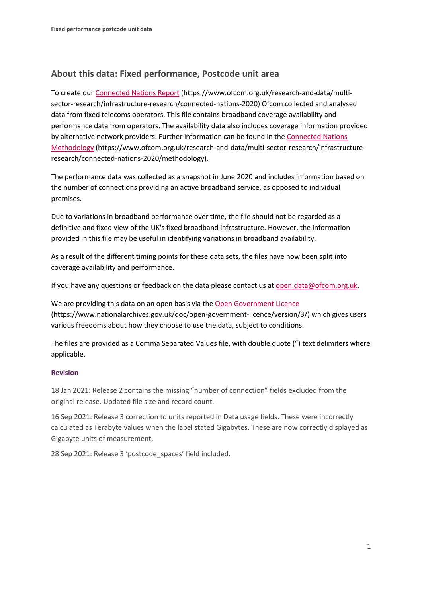## **About this data: Fixed performance, Postcode unit area**

To create ou[r Connected Nations Report](https://www.ofcom.org.uk/research-and-data/multi-sector-research/infrastructure-research/connected-nations-2020) (https://www.ofcom.org.uk/research-and-data/multisector-research/infrastructure-research/connected-nations-2020) Ofcom collected and analysed data from fixed telecoms operators. This file contains broadband coverage availability and performance data from operators. The availability data also includes coverage information provided by alternative network providers. Further information can be found in the [Connected Nations](https://www.ofcom.org.uk/research-and-data/multi-sector-research/infrastructure-research/connected-nations-2020/methodology)  [Methodology](https://www.ofcom.org.uk/research-and-data/multi-sector-research/infrastructure-research/connected-nations-2020/methodology) (https://www.ofcom.org.uk/research-and-data/multi-sector-research/infrastructureresearch/connected-nations-2020/methodology).

The performance data was collected as a snapshot in June 2020 and includes information based on the number of connections providing an active broadband service, as opposed to individual premises.

Due to variations in broadband performance over time, the file should not be regarded as a definitive and fixed view of the UK's fixed broadband infrastructure. However, the information provided in this file may be useful in identifying variations in broadband availability.

As a result of the different timing points for these data sets, the files have now been split into coverage availability and performance.

If you have any questions or feedback on the data please contact us at [open.data@ofcom.org.uk.](mailto:open.data@ofcom.org.uk)

We are providing this data on an open basis via the [Open Government Licence](https://www.nationalarchives.gov.uk/doc/open-government-licence/version/3/) (https://www.nationalarchives.gov.uk/doc/open-government-licence/version/3/) which gives users various freedoms about how they choose to use the data, subject to conditions.

The files are provided as a Comma Separated Values file, with double quote (") text delimiters where applicable.

## **Revision**

18 Jan 2021: Release 2 contains the missing "number of connection" fields excluded from the original release. Updated file size and record count.

16 Sep 2021: Release 3 correction to units reported in Data usage fields. These were incorrectly calculated as Terabyte values when the label stated Gigabytes. These are now correctly displayed as Gigabyte units of measurement.

28 Sep 2021: Release 3 'postcode\_spaces' field included.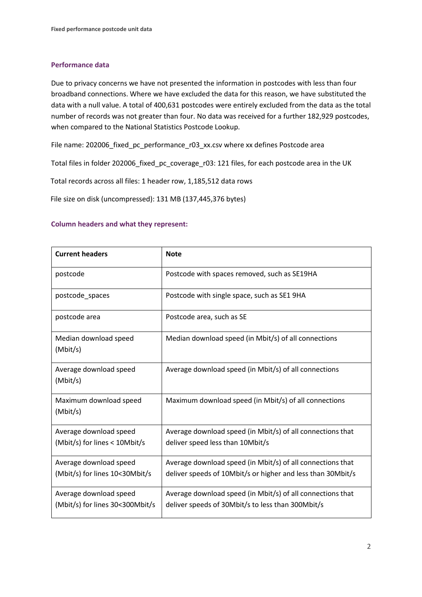## **Performance data**

Due to privacy concerns we have not presented the information in postcodes with less than four broadband connections. Where we have excluded the data for this reason, we have substituted the data with a null value. A total of 400,631 postcodes were entirely excluded from the data as the total number of records was not greater than four. No data was received for a further 182,929 postcodes, when compared to the National Statistics Postcode Lookup.

File name: 202006\_fixed\_pc\_performance\_r03\_xx.csv where xx defines Postcode area

Total files in folder 202006\_fixed\_pc\_coverage\_r03: 121 files, for each postcode area in the UK

Total records across all files: 1 header row, 1,185,512 data rows

File size on disk (uncompressed): 131 MB (137,445,376 bytes)

## **Column headers and what they represent:**

| <b>Current headers</b>                                    | <b>Note</b>                                                                                                               |
|-----------------------------------------------------------|---------------------------------------------------------------------------------------------------------------------------|
| postcode                                                  | Postcode with spaces removed, such as SE19HA                                                                              |
| postcode_spaces                                           | Postcode with single space, such as SE1 9HA                                                                               |
| postcode area                                             | Postcode area, such as SE                                                                                                 |
| Median download speed<br>(Mbit/s)                         | Median download speed (in Mbit/s) of all connections                                                                      |
| Average download speed<br>(Mbit/s)                        | Average download speed (in Mbit/s) of all connections                                                                     |
| Maximum download speed<br>(Mbit/s)                        | Maximum download speed (in Mbit/s) of all connections                                                                     |
| Average download speed<br>(Mbit/s) for lines < 10Mbit/s   | Average download speed (in Mbit/s) of all connections that<br>deliver speed less than 10Mbit/s                            |
| Average download speed<br>(Mbit/s) for lines 10<30Mbit/s  | Average download speed (in Mbit/s) of all connections that<br>deliver speeds of 10Mbit/s or higher and less than 30Mbit/s |
| Average download speed<br>(Mbit/s) for lines 30<300Mbit/s | Average download speed (in Mbit/s) of all connections that<br>deliver speeds of 30Mbit/s to less than 300Mbit/s           |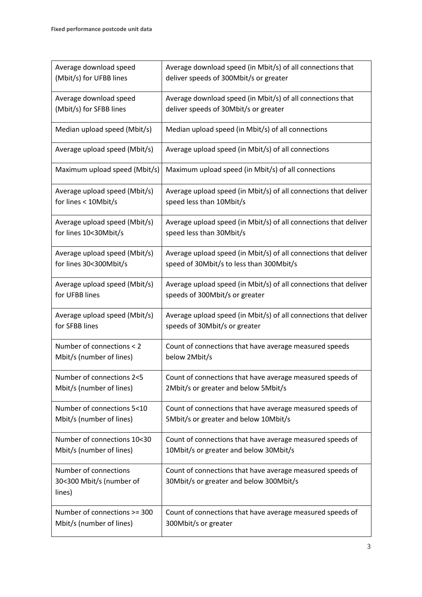| Average download speed                                      | Average download speed (in Mbit/s) of all connections that                                           |
|-------------------------------------------------------------|------------------------------------------------------------------------------------------------------|
| (Mbit/s) for UFBB lines                                     | deliver speeds of 300Mbit/s or greater                                                               |
| Average download speed                                      | Average download speed (in Mbit/s) of all connections that                                           |
| (Mbit/s) for SFBB lines                                     | deliver speeds of 30Mbit/s or greater                                                                |
| Median upload speed (Mbit/s)                                | Median upload speed (in Mbit/s) of all connections                                                   |
| Average upload speed (Mbit/s)                               | Average upload speed (in Mbit/s) of all connections                                                  |
| Maximum upload speed (Mbit/s)                               | Maximum upload speed (in Mbit/s) of all connections                                                  |
| Average upload speed (Mbit/s)                               | Average upload speed (in Mbit/s) of all connections that deliver                                     |
| for lines < 10Mbit/s                                        | speed less than 10Mbit/s                                                                             |
| Average upload speed (Mbit/s)                               | Average upload speed (in Mbit/s) of all connections that deliver                                     |
| for lines 10<30Mbit/s                                       | speed less than 30Mbit/s                                                                             |
| Average upload speed (Mbit/s)                               | Average upload speed (in Mbit/s) of all connections that deliver                                     |
| for lines 30<300Mbit/s                                      | speed of 30Mbit/s to less than 300Mbit/s                                                             |
| Average upload speed (Mbit/s)                               | Average upload speed (in Mbit/s) of all connections that deliver                                     |
| for UFBB lines                                              | speeds of 300Mbit/s or greater                                                                       |
| Average upload speed (Mbit/s)                               | Average upload speed (in Mbit/s) of all connections that deliver                                     |
| for SFBB lines                                              | speeds of 30Mbit/s or greater                                                                        |
| Number of connections < 2                                   | Count of connections that have average measured speeds                                               |
| Mbit/s (number of lines)                                    | below 2Mbit/s                                                                                        |
| Number of connections 2<5                                   | Count of connections that have average measured speeds of                                            |
| Mbit/s (number of lines)                                    | 2Mbit/s or greater and below 5Mbit/s                                                                 |
| Number of connections 5<10                                  | Count of connections that have average measured speeds of                                            |
| Mbit/s (number of lines)                                    | 5Mbit/s or greater and below 10Mbit/s                                                                |
| Number of connections 10<30                                 | Count of connections that have average measured speeds of                                            |
| Mbit/s (number of lines)                                    | 10Mbit/s or greater and below 30Mbit/s                                                               |
| Number of connections<br>30<300 Mbit/s (number of<br>lines) | Count of connections that have average measured speeds of<br>30Mbit/s or greater and below 300Mbit/s |
| Number of connections >= 300                                | Count of connections that have average measured speeds of                                            |
| Mbit/s (number of lines)                                    | 300Mbit/s or greater                                                                                 |